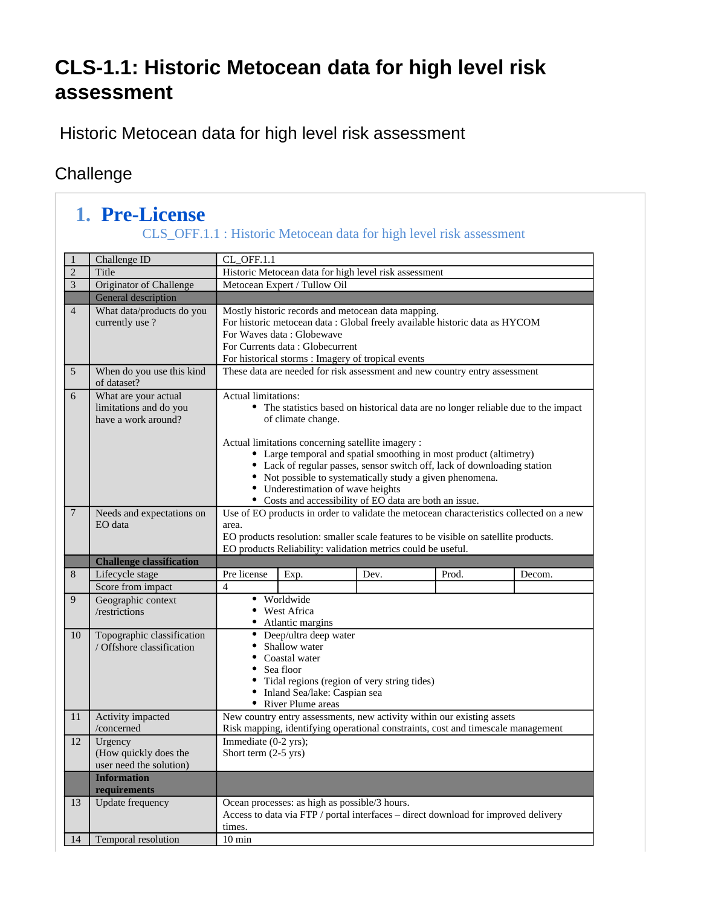## **CLS-1.1: Historic Metocean data for high level risk assessment**

Historic Metocean data for high level risk assessment

### **Challenge**

#### **1. Pre-License** CLS\_OFF.1.1 : Historic Metocean data for high level risk assessment

| $\mathbf{1}$   | Challenge ID                                            | CL_OFF.1.1                                                                                                                                          |                                                                                                                                              |                                                                                                                                                            |       |        |  |
|----------------|---------------------------------------------------------|-----------------------------------------------------------------------------------------------------------------------------------------------------|----------------------------------------------------------------------------------------------------------------------------------------------|------------------------------------------------------------------------------------------------------------------------------------------------------------|-------|--------|--|
| $\sqrt{2}$     | Title                                                   |                                                                                                                                                     |                                                                                                                                              | Historic Metocean data for high level risk assessment                                                                                                      |       |        |  |
| $\overline{3}$ | Originator of Challenge                                 |                                                                                                                                                     | Metocean Expert / Tullow Oil                                                                                                                 |                                                                                                                                                            |       |        |  |
|                | General description                                     |                                                                                                                                                     |                                                                                                                                              |                                                                                                                                                            |       |        |  |
| $\overline{4}$ | What data/products do you                               | Mostly historic records and metocean data mapping.                                                                                                  |                                                                                                                                              |                                                                                                                                                            |       |        |  |
|                | currently use?                                          | For historic metocean data : Global freely available historic data as HYCOM                                                                         |                                                                                                                                              |                                                                                                                                                            |       |        |  |
|                |                                                         |                                                                                                                                                     | For Waves data: Globewave                                                                                                                    |                                                                                                                                                            |       |        |  |
|                |                                                         | For Currents data: Globecurrent<br>For historical storms : Imagery of tropical events                                                               |                                                                                                                                              |                                                                                                                                                            |       |        |  |
| 5              | When do you use this kind                               | These data are needed for risk assessment and new country entry assessment                                                                          |                                                                                                                                              |                                                                                                                                                            |       |        |  |
|                | of dataset?                                             |                                                                                                                                                     |                                                                                                                                              |                                                                                                                                                            |       |        |  |
| 6              | What are your actual                                    | <b>Actual limitations:</b>                                                                                                                          |                                                                                                                                              |                                                                                                                                                            |       |        |  |
|                | limitations and do you                                  | • The statistics based on historical data are no longer reliable due to the impact                                                                  |                                                                                                                                              |                                                                                                                                                            |       |        |  |
|                | have a work around?                                     |                                                                                                                                                     | of climate change.                                                                                                                           |                                                                                                                                                            |       |        |  |
|                |                                                         |                                                                                                                                                     |                                                                                                                                              |                                                                                                                                                            |       |        |  |
|                |                                                         |                                                                                                                                                     | Actual limitations concerning satellite imagery :                                                                                            |                                                                                                                                                            |       |        |  |
|                |                                                         |                                                                                                                                                     | • Large temporal and spatial smoothing in most product (altimetry)<br>Lack of regular passes, sensor switch off, lack of downloading station |                                                                                                                                                            |       |        |  |
|                |                                                         |                                                                                                                                                     | • Not possible to systematically study a given phenomena.                                                                                    |                                                                                                                                                            |       |        |  |
|                |                                                         |                                                                                                                                                     | • Underestimation of wave heights                                                                                                            |                                                                                                                                                            |       |        |  |
|                |                                                         |                                                                                                                                                     |                                                                                                                                              | • Costs and accessibility of EO data are both an issue.                                                                                                    |       |        |  |
| 7              | Needs and expectations on<br>EO data                    | area.                                                                                                                                               |                                                                                                                                              | Use of EO products in order to validate the metocean characteristics collected on a new                                                                    |       |        |  |
|                |                                                         |                                                                                                                                                     |                                                                                                                                              |                                                                                                                                                            |       |        |  |
|                |                                                         | EO products resolution: smaller scale features to be visible on satellite products.<br>EO products Reliability: validation metrics could be useful. |                                                                                                                                              |                                                                                                                                                            |       |        |  |
|                |                                                         |                                                                                                                                                     |                                                                                                                                              |                                                                                                                                                            |       |        |  |
|                |                                                         |                                                                                                                                                     |                                                                                                                                              |                                                                                                                                                            |       |        |  |
| 8              | <b>Challenge classification</b><br>Lifecycle stage      | Pre license                                                                                                                                         | Exp.                                                                                                                                         | Dev.                                                                                                                                                       | Prod. | Decom. |  |
|                | Score from impact                                       | $\overline{4}$                                                                                                                                      |                                                                                                                                              |                                                                                                                                                            |       |        |  |
| 9              | Geographic context                                      |                                                                                                                                                     | • Worldwide                                                                                                                                  |                                                                                                                                                            |       |        |  |
|                | /restrictions                                           |                                                                                                                                                     | • West Africa                                                                                                                                |                                                                                                                                                            |       |        |  |
|                |                                                         |                                                                                                                                                     | • Atlantic margins                                                                                                                           |                                                                                                                                                            |       |        |  |
| 10             | Topographic classification<br>/ Offshore classification | $\bullet$                                                                                                                                           | Deep/ultra deep water<br>Shallow water                                                                                                       |                                                                                                                                                            |       |        |  |
|                |                                                         |                                                                                                                                                     | Coastal water                                                                                                                                |                                                                                                                                                            |       |        |  |
|                |                                                         | $\bullet$                                                                                                                                           | Sea floor                                                                                                                                    |                                                                                                                                                            |       |        |  |
|                |                                                         |                                                                                                                                                     |                                                                                                                                              | • Tidal regions (region of very string tides)                                                                                                              |       |        |  |
|                |                                                         |                                                                                                                                                     | • Inland Sea/lake: Caspian sea                                                                                                               |                                                                                                                                                            |       |        |  |
| 11             |                                                         |                                                                                                                                                     | • River Plume areas                                                                                                                          |                                                                                                                                                            |       |        |  |
|                | Activity impacted<br>/concerned                         |                                                                                                                                                     |                                                                                                                                              | New country entry assessments, new activity within our existing assets<br>Risk mapping, identifying operational constraints, cost and timescale management |       |        |  |
| 12             | Urgency                                                 | Immediate $(0-2$ yrs);                                                                                                                              |                                                                                                                                              |                                                                                                                                                            |       |        |  |
|                | (How quickly does the                                   | Short term $(2-5$ yrs)                                                                                                                              |                                                                                                                                              |                                                                                                                                                            |       |        |  |
|                | user need the solution)                                 |                                                                                                                                                     |                                                                                                                                              |                                                                                                                                                            |       |        |  |
|                | <b>Information</b>                                      |                                                                                                                                                     |                                                                                                                                              |                                                                                                                                                            |       |        |  |
|                | requirements                                            |                                                                                                                                                     |                                                                                                                                              |                                                                                                                                                            |       |        |  |
| 13             | <b>Update frequency</b>                                 |                                                                                                                                                     | Ocean processes: as high as possible/3 hours.                                                                                                |                                                                                                                                                            |       |        |  |
|                |                                                         |                                                                                                                                                     |                                                                                                                                              | Access to data via FTP / portal interfaces - direct download for improved delivery                                                                         |       |        |  |
| 14             | Temporal resolution                                     | times.<br>$10 \text{ min}$                                                                                                                          |                                                                                                                                              |                                                                                                                                                            |       |        |  |